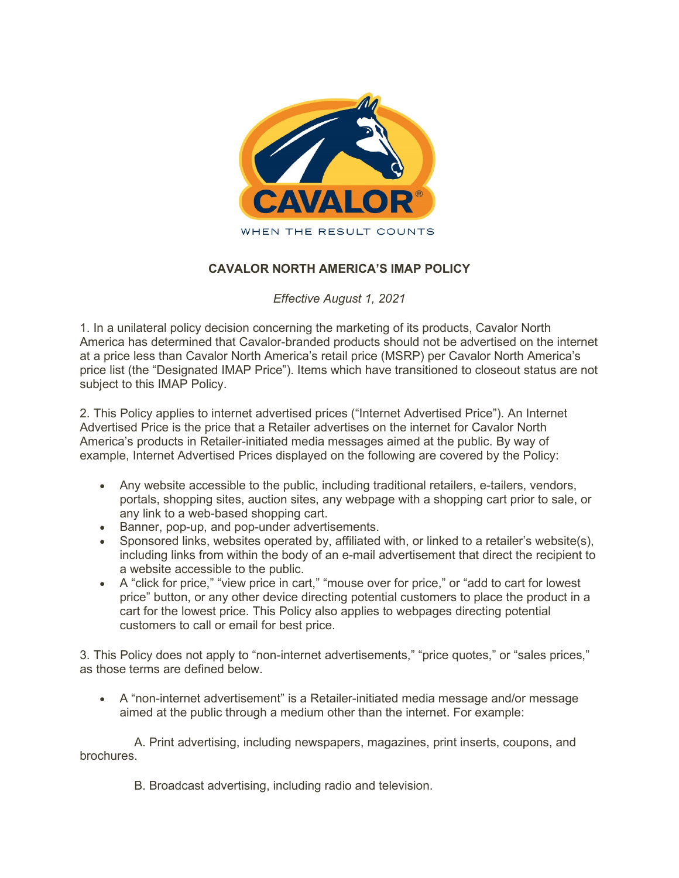

## **CAVALOR NORTH AMERICA'S IMAP POLICY**

*Effective August 1, 2021*

1. In a unilateral policy decision concerning the marketing of its products, Cavalor North America has determined that Cavalor-branded products should not be advertised on the internet at a price less than Cavalor North America's retail price (MSRP) per Cavalor North America's price list (the "Designated IMAP Price"). Items which have transitioned to closeout status are not subject to this IMAP Policy.

2. This Policy applies to internet advertised prices ("Internet Advertised Price"). An Internet Advertised Price is the price that a Retailer advertises on the internet for Cavalor North America's products in Retailer-initiated media messages aimed at the public. By way of example, Internet Advertised Prices displayed on the following are covered by the Policy:

- Any website accessible to the public, including traditional retailers, e-tailers, vendors, portals, shopping sites, auction sites, any webpage with a shopping cart prior to sale, or any link to a web-based shopping cart.
- Banner, pop-up, and pop-under advertisements.
- Sponsored links, websites operated by, affiliated with, or linked to a retailer's website(s), including links from within the body of an e-mail advertisement that direct the recipient to a website accessible to the public.
- A "click for price," "view price in cart," "mouse over for price," or "add to cart for lowest price" button, or any other device directing potential customers to place the product in a cart for the lowest price. This Policy also applies to webpages directing potential customers to call or email for best price.

3. This Policy does not apply to "non-internet advertisements," "price quotes," or "sales prices," as those terms are defined below.

• A "non-internet advertisement" is a Retailer-initiated media message and/or message aimed at the public through a medium other than the internet. For example:

A. Print advertising, including newspapers, magazines, print inserts, coupons, and **brochures** 

B. Broadcast advertising, including radio and television.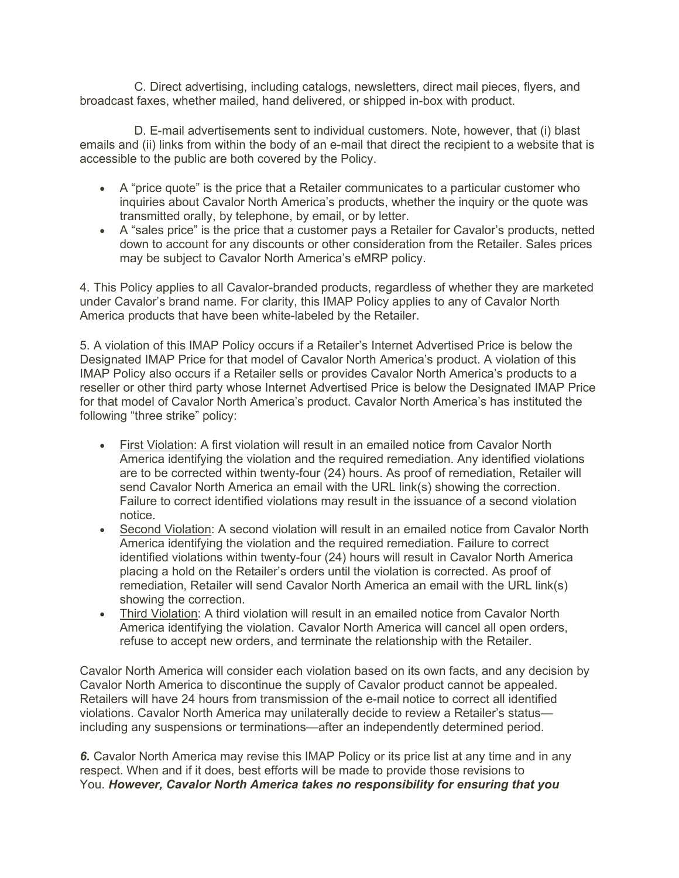C. Direct advertising, including catalogs, newsletters, direct mail pieces, flyers, and broadcast faxes, whether mailed, hand delivered, or shipped in-box with product.

D. E-mail advertisements sent to individual customers. Note, however, that (i) blast emails and (ii) links from within the body of an e-mail that direct the recipient to a website that is accessible to the public are both covered by the Policy.

- A "price quote" is the price that a Retailer communicates to a particular customer who inquiries about Cavalor North America's products, whether the inquiry or the quote was transmitted orally, by telephone, by email, or by letter.
- A "sales price" is the price that a customer pays a Retailer for Cavalor's products, netted down to account for any discounts or other consideration from the Retailer. Sales prices may be subject to Cavalor North America's eMRP policy.

4. This Policy applies to all Cavalor-branded products, regardless of whether they are marketed under Cavalor's brand name. For clarity, this IMAP Policy applies to any of Cavalor North America products that have been white-labeled by the Retailer.

5. A violation of this IMAP Policy occurs if a Retailer's Internet Advertised Price is below the Designated IMAP Price for that model of Cavalor North America's product. A violation of this IMAP Policy also occurs if a Retailer sells or provides Cavalor North America's products to a reseller or other third party whose Internet Advertised Price is below the Designated IMAP Price for that model of Cavalor North America's product. Cavalor North America's has instituted the following "three strike" policy:

- First Violation: A first violation will result in an emailed notice from Cavalor North America identifying the violation and the required remediation. Any identified violations are to be corrected within twenty-four (24) hours. As proof of remediation, Retailer will send Cavalor North America an email with the URL link(s) showing the correction. Failure to correct identified violations may result in the issuance of a second violation notice.
- Second Violation: A second violation will result in an emailed notice from Cavalor North America identifying the violation and the required remediation. Failure to correct identified violations within twenty-four (24) hours will result in Cavalor North America placing a hold on the Retailer's orders until the violation is corrected. As proof of remediation, Retailer will send Cavalor North America an email with the URL link(s) showing the correction.
- Third Violation: A third violation will result in an emailed notice from Cavalor North America identifying the violation. Cavalor North America will cancel all open orders, refuse to accept new orders, and terminate the relationship with the Retailer.

Cavalor North America will consider each violation based on its own facts, and any decision by Cavalor North America to discontinue the supply of Cavalor product cannot be appealed. Retailers will have 24 hours from transmission of the e-mail notice to correct all identified violations. Cavalor North America may unilaterally decide to review a Retailer's status including any suspensions or terminations—after an independently determined period.

*6.* Cavalor North America may revise this IMAP Policy or its price list at any time and in any respect. When and if it does, best efforts will be made to provide those revisions to You. *However, Cavalor North America takes no responsibility for ensuring that you*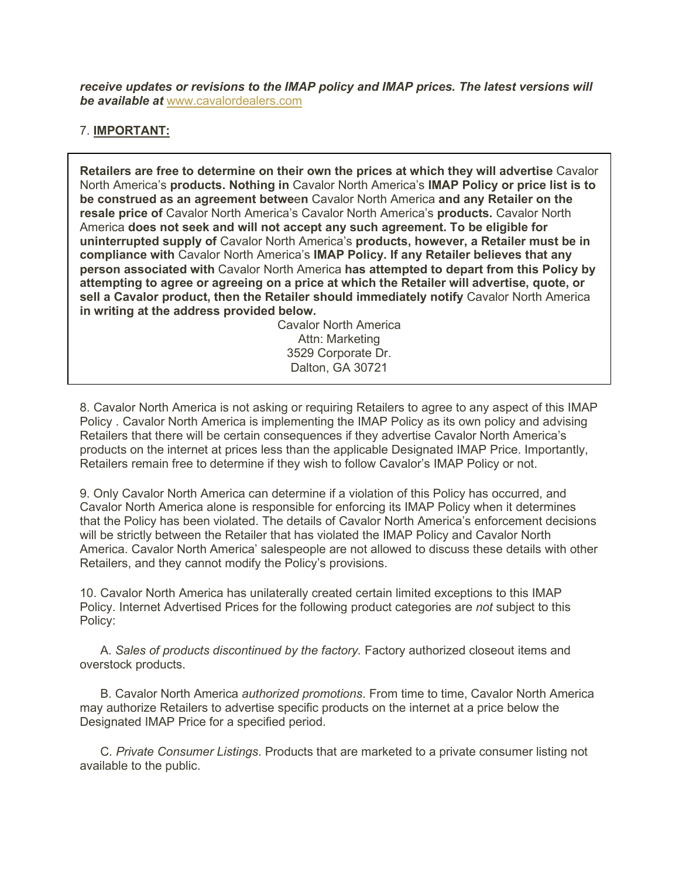*receive updates or revisions to the IMAP policy and IMAP prices. The latest versions will be available at* www.cavalordealers.com

## 7. **IMPORTANT:**

**Retailers are free to determine on their own the prices at which they will advertise** Cavalor North America's **products. Nothing in** Cavalor North America's **IMAP Policy or price list is to be construed as an agreement betwe**e**n** Cavalor North America **and any Retailer on the resale price of** Cavalor North America's Cavalor North America's **products.** Cavalor North America **does not seek and will not accept any such agreement. To be eligible for uninterrupted supply of** Cavalor North America's **products, however, a Retailer must be in compliance with** Cavalor North America's **IMAP Policy. If any Retailer believes that any person associated with** Cavalor North America **has attempted to depart from this Policy by attempting to agree or agreeing on a price at which the Retailer will advertise, quote, or sell a Cavalor product, then the Retailer should immediately notify** Cavalor North America **in writing at the address provided below.**

> Cavalor North America Attn: Marketing 3529 Corporate Dr. Dalton, GA 30721

8. Cavalor North America is not asking or requiring Retailers to agree to any aspect of this IMAP Policy . Cavalor North America is implementing the IMAP Policy as its own policy and advising Retailers that there will be certain consequences if they advertise Cavalor North America's products on the internet at prices less than the applicable Designated IMAP Price. Importantly, Retailers remain free to determine if they wish to follow Cavalor's IMAP Policy or not.

9. Only Cavalor North America can determine if a violation of this Policy has occurred, and Cavalor North America alone is responsible for enforcing its IMAP Policy when it determines that the Policy has been violated. The details of Cavalor North America's enforcement decisions will be strictly between the Retailer that has violated the IMAP Policy and Cavalor North America. Cavalor North America' salespeople are not allowed to discuss these details with other Retailers, and they cannot modify the Policy's provisions.

10. Cavalor North America has unilaterally created certain limited exceptions to this IMAP Policy. Internet Advertised Prices for the following product categories are *not* subject to this Policy:

A. *Sales of products discontinued by the factory.* Factory authorized closeout items and overstock products.

B. Cavalor North America *authorized promotions*. From time to time, Cavalor North America may authorize Retailers to advertise specific products on the internet at a price below the Designated IMAP Price for a specified period.

C. *Private Consumer Listings*. Products that are marketed to a private consumer listing not available to the public.